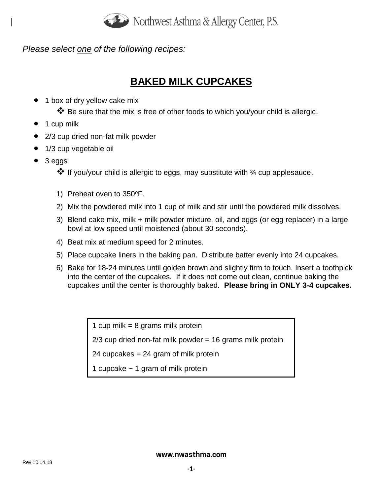

*Please select one of the following recipes:*

## **BAKED MILK CUPCAKES**

- 1 box of dry yellow cake mix
	- ❖ Be sure that the mix is free of other foods to which you/your child is allergic.
- 1 cup milk
- 2/3 cup dried non-fat milk powder
- 1/3 cup vegetable oil
- 3 eggs

❖ If you/your child is allergic to eggs, may substitute with ¾ cup applesauce.

- 1) Preheat oven to 350°F.
- 2) Mix the powdered milk into 1 cup of milk and stir until the powdered milk dissolves.
- 3) Blend cake mix, milk + milk powder mixture, oil, and eggs (or egg replacer) in a large bowl at low speed until moistened (about 30 seconds). Ĩ
- 4) Beat mix at medium speed for 2 minutes.
- 5) Place cupcake liners in the baking pan. Distribute batter evenly into 24 cupcakes.
- 6) Bake for 18-24 minutes until golden brown and slightly firm to touch. Insert a toothpick into the center of the cupcakes. If it does not come out clean, continue baking the cupcakes until the center is thoroughly baked. **Please bring in ONLY 3-4 cupcakes.**

1 cup milk  $= 8$  grams milk protein

 $2/3$  cup dried non-fat milk powder = 16 grams milk protein

24 cupcakes = 24 gram of milk protein

1 cupcake  $\sim$  1 gram of milk protein

**www.nwasthma.com**